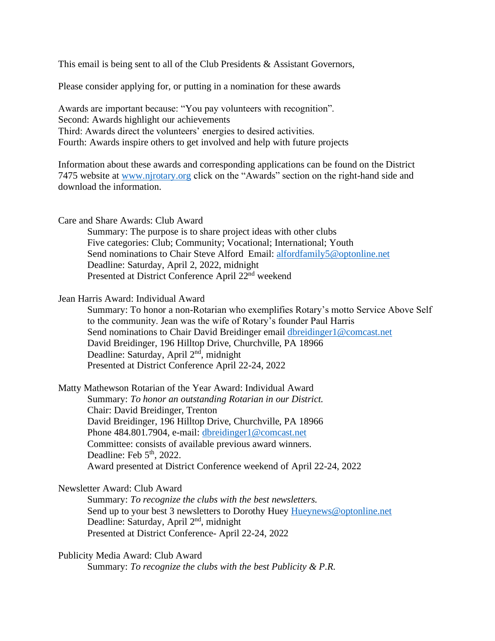This email is being sent to all of the Club Presidents & Assistant Governors,

Please consider applying for, or putting in a nomination for these awards

Awards are important because: "You pay volunteers with recognition". Second: Awards highlight our achievements Third: Awards direct the volunteers' energies to desired activities. Fourth: Awards inspire others to get involved and help with future projects

Information about these awards and corresponding applications can be found on the District 7475 website at [www.njrotary.org](http://www.njrotary.org/) click on the "Awards" section on the right-hand side and download the information.

Care and Share Awards: Club Award

Summary: The purpose is to share project ideas with other clubs Five categories: Club; Community; Vocational; International; Youth Send nominations to Chair Steve Alford Email: [alfordfamily5@optonline.net](mailto:alfordfamily5@optonline.net) Deadline: Saturday, April 2, 2022, midnight Presented at District Conference April 22<sup>nd</sup> weekend

Jean Harris Award: Individual Award

Summary: To honor a non-Rotarian who exemplifies Rotary's motto Service Above Self to the community. Jean was the wife of Rotary's founder Paul Harris Send nominations to Chair David Breidinger email [dbreidinger1@comcast.net](mailto:dbreidinger1@comcast.net) David Breidinger, 196 Hilltop Drive, Churchville, PA 18966 Deadline: Saturday, April 2<sup>nd</sup>, midnight Presented at District Conference April 22-24, 2022

Matty Mathewson Rotarian of the Year Award: Individual Award Summary: *To honor an outstanding Rotarian in our District.* Chair: David Breidinger, Trenton David Breidinger, 196 Hilltop Drive, Churchville, PA 18966 Phone 484.801.7904, e-mail: [dbreidinger1@comcast.net](mailto:dbreidinger1@comcast.net) Committee: consists of available previous award winners. Deadline: Feb  $5<sup>th</sup>$ , 2022. Award presented at District Conference weekend of April 22-24, 2022

## Newsletter Award: Club Award

Summary: *To recognize the clubs with the best newsletters.* Send up to your best 3 newsletters to Dorothy Huey [Hueynews@optonline.net](mailto:Hueynews@optonline.net) Deadline: Saturday, April 2<sup>nd</sup>, midnight Presented at District Conference- April 22-24, 2022

Publicity Media Award: Club Award Summary: *To recognize the clubs with the best Publicity & P.R.*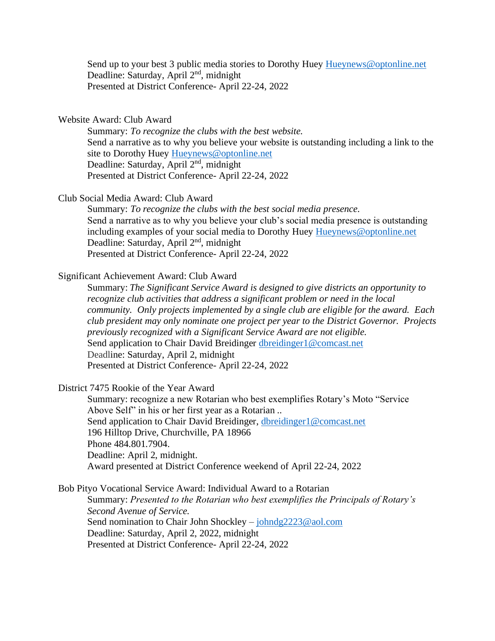Send up to your best 3 public media stories to Dorothy Huey [Hueynews@optonline.net](mailto:Hueynews@optonline.net) Deadline: Saturday, April 2<sup>nd</sup>, midnight Presented at District Conference- April 22-24, 2022

## Website Award: Club Award

Summary: *To recognize the clubs with the best website.* Send a narrative as to why you believe your website is outstanding including a link to the site to Dorothy Huey [Hueynews@optonline.net](mailto:Hueynews@optonline.net) Deadline: Saturday, April 2<sup>nd</sup>, midnight Presented at District Conference- April 22-24, 2022

Club Social Media Award: Club Award

Summary: *To recognize the clubs with the best social media presence.* Send a narrative as to why you believe your club's social media presence is outstanding including examples of your social media to Dorothy Huey [Hueynews@optonline.net](mailto:Hueynews@optonline.net) Deadline: Saturday, April 2<sup>nd</sup>, midnight Presented at District Conference- April 22-24, 2022

## Significant Achievement Award: Club Award

Summary: *The Significant Service Award is designed to give districts an opportunity to recognize club activities that address a significant problem or need in the local community. Only projects implemented by a single club are eligible for the award. Each club president may only nominate one project per year to the District Governor. Projects previously recognized with a Significant Service Award are not eligible.* Send application to Chair David Breidinger [dbreidinger1@comcast.net](mailto:dbreidinger1@comcast.net) Deadline: Saturday, April 2, midnight Presented at District Conference- April 22-24, 2022

District 7475 Rookie of the Year Award

Summary: recognize a new Rotarian who best exemplifies Rotary's Moto "Service Above Self" in his or her first year as a Rotarian *..* Send application to Chair David Breidinger, [dbreidinger1@comcast.net](mailto:dbreidinger1@comcast.net) 196 Hilltop Drive, Churchville, PA 18966 Phone 484.801.7904. Deadline: April 2, midnight. Award presented at District Conference weekend of April 22-24, 2022

## Bob Pityo Vocational Service Award: Individual Award to a Rotarian

Summary: *Presented to the Rotarian who best exemplifies the Principals of Rotary's Second Avenue of Service.* Send nomination to Chair John Shockley – [johndg2223@aol.com](mailto:johndg2223@aol.com) Deadline: Saturday, April 2, 2022, midnight Presented at District Conference- April 22-24, 2022